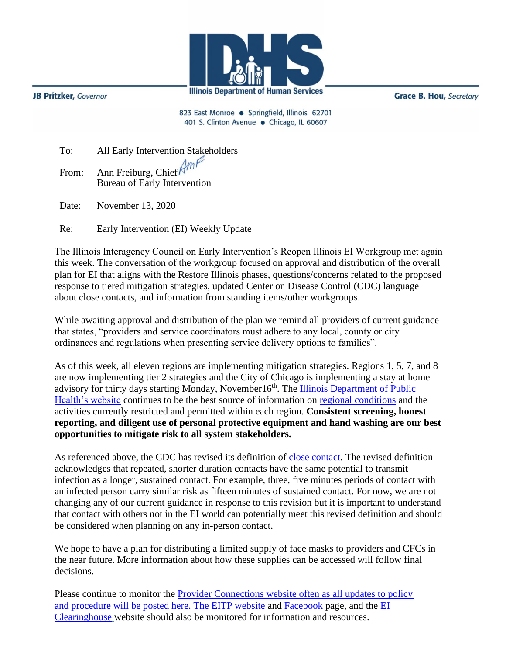

**JB Pritzker**, Governor

**Grace B. Hou, Secretary** 

823 East Monroe · Springfield, Illinois 62701 401 S. Clinton Avenue · Chicago, IL 60607

| To:   | All Early Intervention Stakeholders                       |
|-------|-----------------------------------------------------------|
| From: | Ann Freiburg, Chief $AmP$<br>Bureau of Early Intervention |
|       |                                                           |

Date: November 13, 2020

Re: Early Intervention (EI) Weekly Update

The Illinois Interagency Council on Early Intervention's Reopen Illinois EI Workgroup met again this week. The conversation of the workgroup focused on approval and distribution of the overall plan for EI that aligns with the Restore Illinois phases, questions/concerns related to the proposed response to tiered mitigation strategies, updated Center on Disease Control (CDC) language about close contacts, and information from standing items/other workgroups.

While awaiting approval and distribution of the plan we remind all providers of current guidance that states, "providers and service coordinators must adhere to any local, county or city ordinances and regulations when presenting service delivery options to families".

As of this week, all eleven regions are implementing mitigation strategies. Regions 1, 5, 7, and 8 are now implementing tier 2 strategies and the City of Chicago is implementing a stay at home advisory for thirty days starting Monday, November16<sup>th</sup>. The Illinois Department of Public [Health's website](https://www.dph.illinois.gov/regionmetrics?regionID=1) continues to be the best source of information on [regional conditions](https://www.dph.illinois.gov/regionmetrics?regionID=1) and the activities currently restricted and permitted within each region. **Consistent screening, honest reporting, and diligent use of personal protective equipment and hand washing are our best opportunities to mitigate risk to all system stakeholders.**

As referenced above, the CDC has revised its definition of [close contact.](https://www.cdc.gov/coronavirus/2019-ncov/php/contact-tracing/contact-tracing-plan/appendix.html#contact) The revised definition acknowledges that repeated, shorter duration contacts have the same potential to transmit infection as a longer, sustained contact. For example, three, five minutes periods of contact with an infected person carry similar risk as fifteen minutes of sustained contact. For now, we are not changing any of our current guidance in response to this revision but it is important to understand that contact with others not in the EI world can potentially meet this revised definition and should be considered when planning on any in-person contact.

We hope to have a plan for distributing a limited supply of face masks to providers and CFCs in the near future. More information about how these supplies can be accessed will follow final decisions.

Please continue to monitor the **Provider Connections** website often as all updates to policy and procedure will be posted here. The [EITP website](https://blogs.illinois.edu/view/6096/807027) and [Facebook](https://www.facebook.com/EITPIllinois) page, and the [EI](https://eiclearinghouse.org/)  [Clearinghouse](https://eiclearinghouse.org/) website should also be monitored for information and resources.